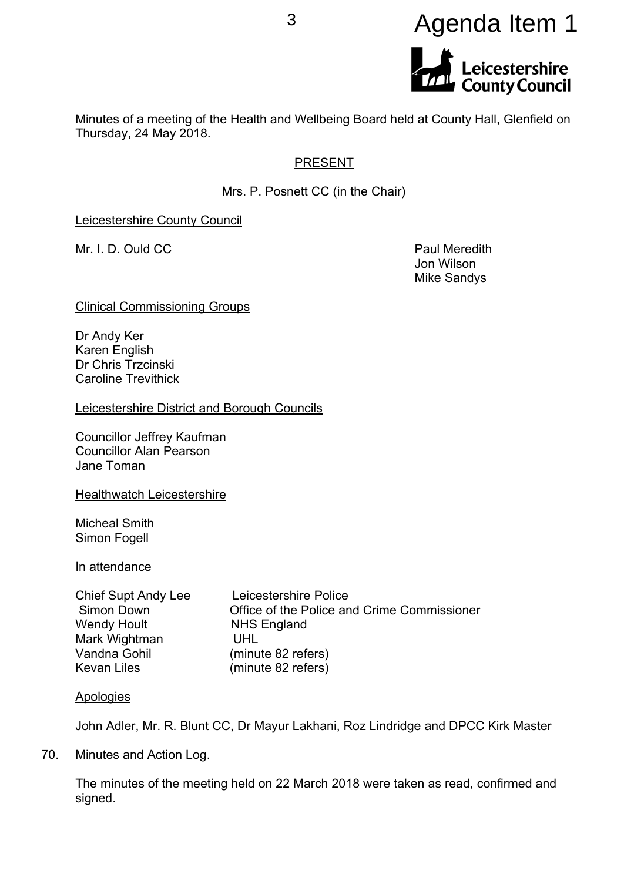# <sup>3</sup> Agenda Item 1**Leicestershire<br>County Council**

Minutes of a meeting of the Health and Wellbeing Board held at County Hall, Glenfield on Thursday, 24 May 2018.

# PRESENT

Mrs. P. Posnett CC (in the Chair)

Leicestershire County Council

Mr. I. D. Ould CC **Paul Meredith** 

Jon Wilson Mike Sandys

Clinical Commissioning Groups

Dr Andy Ker Karen English Dr Chris Trzcinski Caroline Trevithick

Leicestershire District and Borough Councils

Councillor Jeffrey Kaufman Councillor Alan Pearson Jane Toman

Healthwatch Leicestershire

Micheal Smith Simon Fogell

In attendance

| Chief Supt Andy Lee | Leicestershire Police                       |
|---------------------|---------------------------------------------|
| Simon Down          | Office of the Police and Crime Commissioner |
| Wendy Hoult         | <b>NHS England</b>                          |
| Mark Wightman       | UHL                                         |
| Vandna Gohil        | (minute 82 refers)                          |
| Kevan Liles         | (minute 82 refers)                          |

# Apologies

John Adler, Mr. R. Blunt CC, Dr Mayur Lakhani, Roz Lindridge and DPCC Kirk Master

70. Minutes and Action Log.

The minutes of the meeting held on 22 March 2018 were taken as read, confirmed and signed.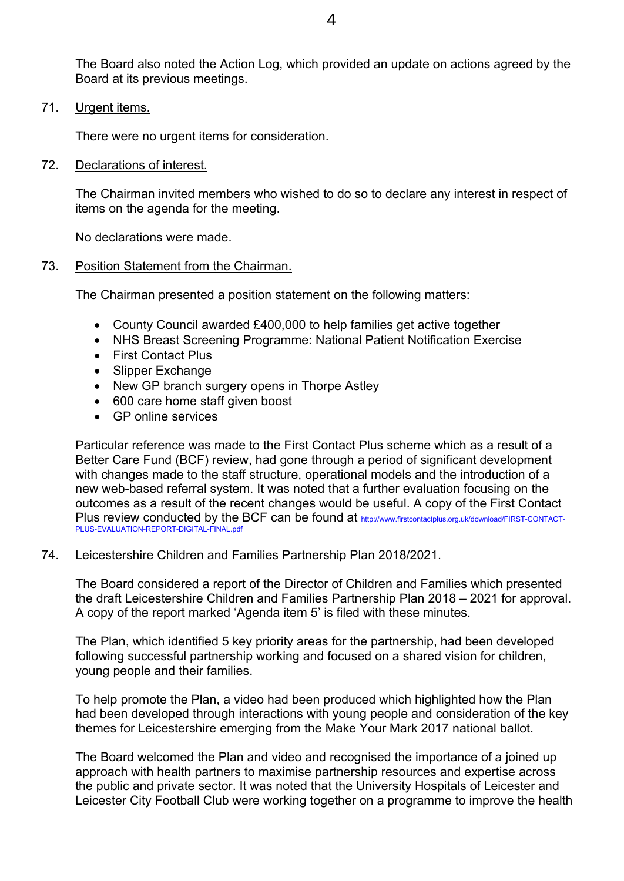The Board also noted the Action Log, which provided an update on actions agreed by the Board at its previous meetings.

71. Urgent items.

There were no urgent items for consideration.

72. Declarations of interest.

The Chairman invited members who wished to do so to declare any interest in respect of items on the agenda for the meeting.

No declarations were made.

#### 73. Position Statement from the Chairman.

The Chairman presented a position statement on the following matters:

- County Council awarded £400,000 to help families get active together
- NHS Breast Screening Programme: National Patient Notification Exercise
- First Contact Plus
- Slipper Exchange
- New GP branch surgery opens in Thorpe Astley
- 600 care home staff given boost
- GP online services

Particular reference was made to the First Contact Plus scheme which as a result of a Better Care Fund (BCF) review, had gone through a period of significant development with changes made to the staff structure, operational models and the introduction of a new web-based referral system. It was noted that a further evaluation focusing on the outcomes as a result of the recent changes would be useful. A copy of the First Contact Plus review conducted by the BCF can be found at [http://www.firstcontactplus.org.uk/download/FIRST-CONTACT-](http://www.firstcontactplus.org.uk/download/FIRST-CONTACT-PLUS-EVALUATION-REPORT-DIGITAL-FINAL.pdf)[PLUS-EVALUATION-REPORT-DIGITAL-FINAL.pdf](http://www.firstcontactplus.org.uk/download/FIRST-CONTACT-PLUS-EVALUATION-REPORT-DIGITAL-FINAL.pdf)

# 74. Leicestershire Children and Families Partnership Plan 2018/2021.

The Board considered a report of the Director of Children and Families which presented the draft Leicestershire Children and Families Partnership Plan 2018 – 2021 for approval. A copy of the report marked 'Agenda item 5' is filed with these minutes.

The Plan, which identified 5 key priority areas for the partnership, had been developed following successful partnership working and focused on a shared vision for children, young people and their families.

To help promote the Plan, a video had been produced which highlighted how the Plan had been developed through interactions with young people and consideration of the key themes for Leicestershire emerging from the Make Your Mark 2017 national ballot.

The Board welcomed the Plan and video and recognised the importance of a joined up approach with health partners to maximise partnership resources and expertise across the public and private sector. It was noted that the University Hospitals of Leicester and Leicester City Football Club were working together on a programme to improve the health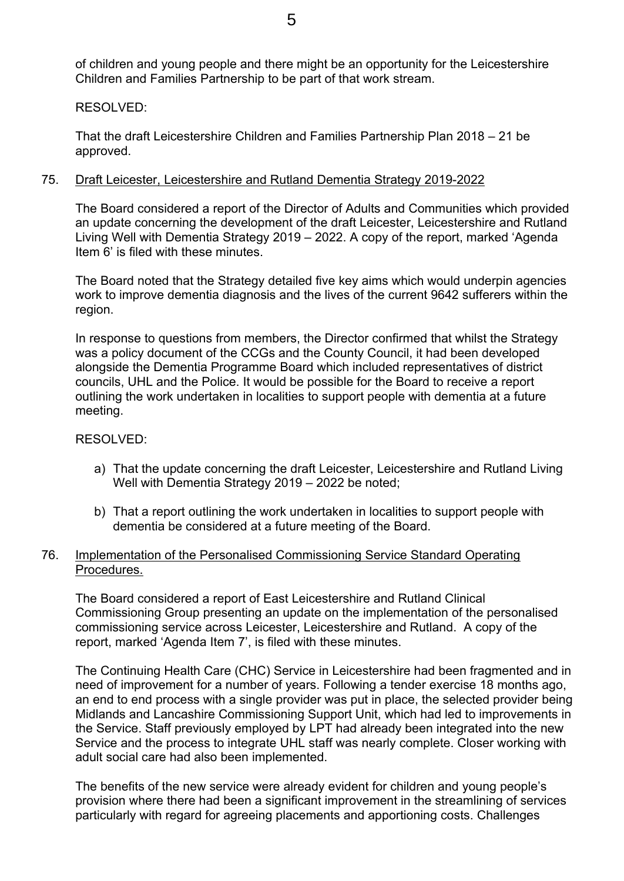of children and young people and there might be an opportunity for the Leicestershire Children and Families Partnership to be part of that work stream.

# RESOLVED:

That the draft Leicestershire Children and Families Partnership Plan 2018 – 21 be approved.

# 75. Draft Leicester, Leicestershire and Rutland Dementia Strategy 2019-2022

The Board considered a report of the Director of Adults and Communities which provided an update concerning the development of the draft Leicester, Leicestershire and Rutland Living Well with Dementia Strategy 2019 – 2022. A copy of the report, marked 'Agenda Item 6' is filed with these minutes.

The Board noted that the Strategy detailed five key aims which would underpin agencies work to improve dementia diagnosis and the lives of the current 9642 sufferers within the region.

In response to questions from members, the Director confirmed that whilst the Strategy was a policy document of the CCGs and the County Council, it had been developed alongside the Dementia Programme Board which included representatives of district councils, UHL and the Police. It would be possible for the Board to receive a report outlining the work undertaken in localities to support people with dementia at a future meeting.

# RESOLVED:

- a) That the update concerning the draft Leicester, Leicestershire and Rutland Living Well with Dementia Strategy 2019 – 2022 be noted;
- b) That a report outlining the work undertaken in localities to support people with dementia be considered at a future meeting of the Board.

# 76. Implementation of the Personalised Commissioning Service Standard Operating Procedures.

The Board considered a report of East Leicestershire and Rutland Clinical Commissioning Group presenting an update on the implementation of the personalised commissioning service across Leicester, Leicestershire and Rutland. A copy of the report, marked 'Agenda Item 7', is filed with these minutes.

The Continuing Health Care (CHC) Service in Leicestershire had been fragmented and in need of improvement for a number of years. Following a tender exercise 18 months ago, an end to end process with a single provider was put in place, the selected provider being Midlands and Lancashire Commissioning Support Unit, which had led to improvements in the Service. Staff previously employed by LPT had already been integrated into the new Service and the process to integrate UHL staff was nearly complete. Closer working with adult social care had also been implemented.

The benefits of the new service were already evident for children and young people's provision where there had been a significant improvement in the streamlining of services particularly with regard for agreeing placements and apportioning costs. Challenges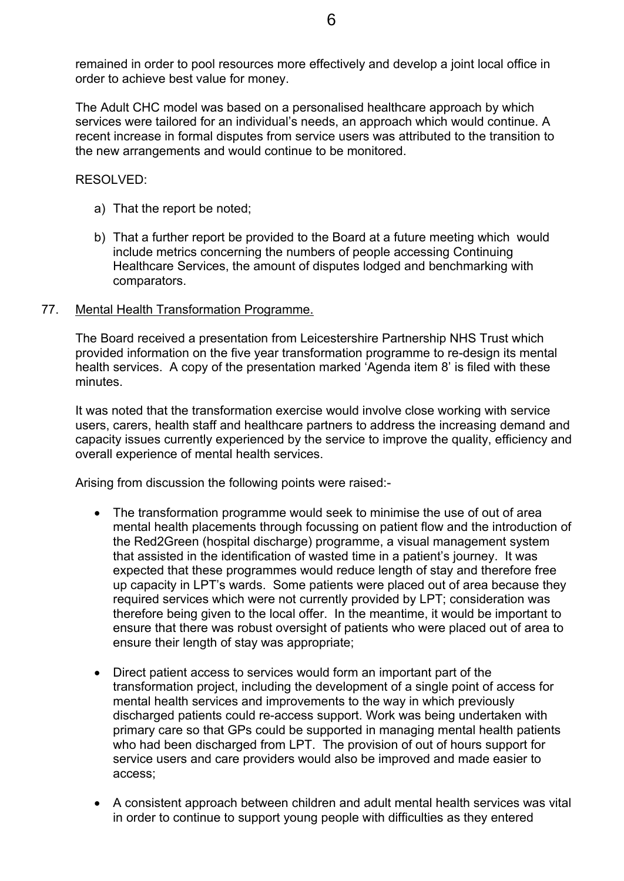remained in order to pool resources more effectively and develop a joint local office in order to achieve best value for money.

The Adult CHC model was based on a personalised healthcare approach by which services were tailored for an individual's needs, an approach which would continue. A recent increase in formal disputes from service users was attributed to the transition to the new arrangements and would continue to be monitored.

RESOLVED:

- a) That the report be noted;
- b) That a further report be provided to the Board at a future meeting which would include metrics concerning the numbers of people accessing Continuing Healthcare Services, the amount of disputes lodged and benchmarking with comparators.
- 77. Mental Health Transformation Programme.

The Board received a presentation from Leicestershire Partnership NHS Trust which provided information on the five year transformation programme to re-design its mental health services. A copy of the presentation marked 'Agenda item 8' is filed with these minutes.

It was noted that the transformation exercise would involve close working with service users, carers, health staff and healthcare partners to address the increasing demand and capacity issues currently experienced by the service to improve the quality, efficiency and overall experience of mental health services.

Arising from discussion the following points were raised:-

- The transformation programme would seek to minimise the use of out of area mental health placements through focussing on patient flow and the introduction of the Red2Green (hospital discharge) programme, a visual management system that assisted in the identification of wasted time in a patient's journey. It was expected that these programmes would reduce length of stay and therefore free up capacity in LPT's wards. Some patients were placed out of area because they required services which were not currently provided by LPT; consideration was therefore being given to the local offer. In the meantime, it would be important to ensure that there was robust oversight of patients who were placed out of area to ensure their length of stay was appropriate;
- Direct patient access to services would form an important part of the transformation project, including the development of a single point of access for mental health services and improvements to the way in which previously discharged patients could re-access support. Work was being undertaken with primary care so that GPs could be supported in managing mental health patients who had been discharged from LPT. The provision of out of hours support for service users and care providers would also be improved and made easier to access;
- A consistent approach between children and adult mental health services was vital in order to continue to support young people with difficulties as they entered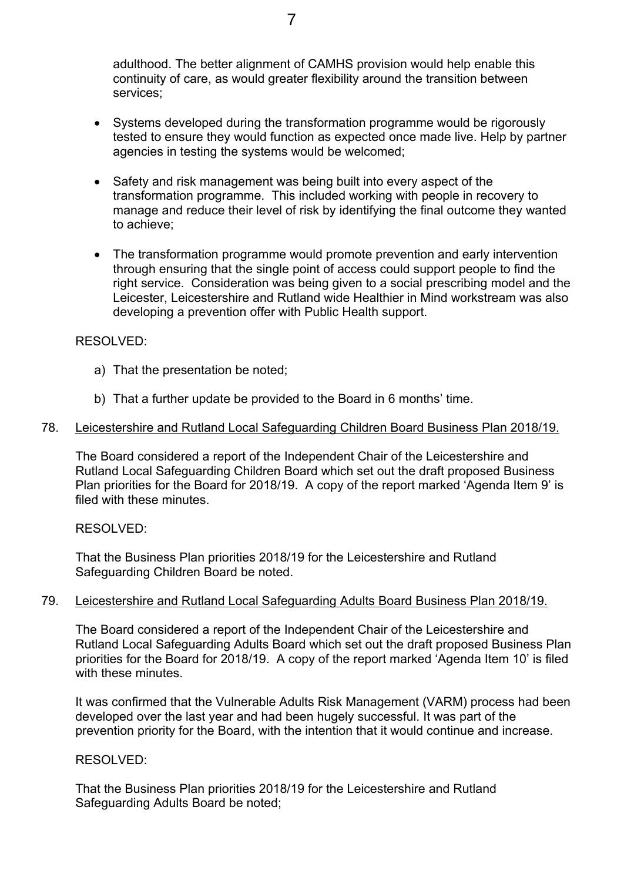adulthood. The better alignment of CAMHS provision would help enable this continuity of care, as would greater flexibility around the transition between services;

- Systems developed during the transformation programme would be rigorously tested to ensure they would function as expected once made live. Help by partner agencies in testing the systems would be welcomed;
- Safety and risk management was being built into every aspect of the transformation programme. This included working with people in recovery to manage and reduce their level of risk by identifying the final outcome they wanted to achieve;
- The transformation programme would promote prevention and early intervention through ensuring that the single point of access could support people to find the right service. Consideration was being given to a social prescribing model and the Leicester, Leicestershire and Rutland wide Healthier in Mind workstream was also developing a prevention offer with Public Health support.

#### RESOLVED:

- a) That the presentation be noted;
- b) That a further update be provided to the Board in 6 months' time.

#### 78. Leicestershire and Rutland Local Safeguarding Children Board Business Plan 2018/19.

The Board considered a report of the Independent Chair of the Leicestershire and Rutland Local Safeguarding Children Board which set out the draft proposed Business Plan priorities for the Board for 2018/19. A copy of the report marked 'Agenda Item 9' is filed with these minutes.

#### RESOLVED:

That the Business Plan priorities 2018/19 for the Leicestershire and Rutland Safeguarding Children Board be noted.

## 79. Leicestershire and Rutland Local Safeguarding Adults Board Business Plan 2018/19.

The Board considered a report of the Independent Chair of the Leicestershire and Rutland Local Safeguarding Adults Board which set out the draft proposed Business Plan priorities for the Board for 2018/19. A copy of the report marked 'Agenda Item 10' is filed with these minutes.

It was confirmed that the Vulnerable Adults Risk Management (VARM) process had been developed over the last year and had been hugely successful. It was part of the prevention priority for the Board, with the intention that it would continue and increase.

#### RESOLVED:

That the Business Plan priorities 2018/19 for the Leicestershire and Rutland Safeguarding Adults Board be noted;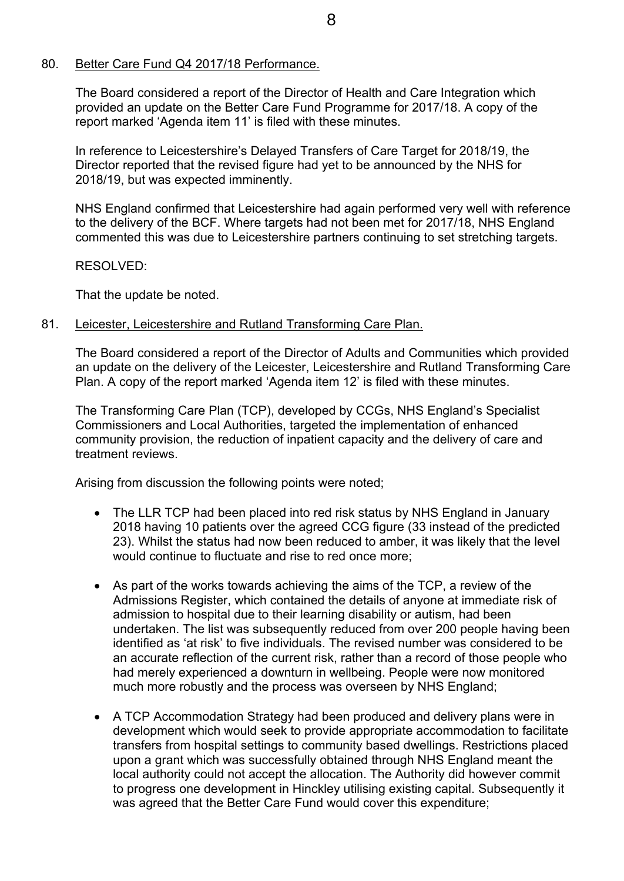## 80. Better Care Fund Q4 2017/18 Performance.

The Board considered a report of the Director of Health and Care Integration which provided an update on the Better Care Fund Programme for 2017/18. A copy of the report marked 'Agenda item 11' is filed with these minutes.

In reference to Leicestershire's Delayed Transfers of Care Target for 2018/19, the Director reported that the revised figure had yet to be announced by the NHS for 2018/19, but was expected imminently.

NHS England confirmed that Leicestershire had again performed very well with reference to the delivery of the BCF. Where targets had not been met for 2017/18, NHS England commented this was due to Leicestershire partners continuing to set stretching targets.

RESOLVED:

That the update be noted.

#### 81. Leicester, Leicestershire and Rutland Transforming Care Plan.

The Board considered a report of the Director of Adults and Communities which provided an update on the delivery of the Leicester, Leicestershire and Rutland Transforming Care Plan. A copy of the report marked 'Agenda item 12' is filed with these minutes.

The Transforming Care Plan (TCP), developed by CCGs, NHS England's Specialist Commissioners and Local Authorities, targeted the implementation of enhanced community provision, the reduction of inpatient capacity and the delivery of care and treatment reviews.

Arising from discussion the following points were noted;

- The LLR TCP had been placed into red risk status by NHS England in January 2018 having 10 patients over the agreed CCG figure (33 instead of the predicted 23). Whilst the status had now been reduced to amber, it was likely that the level would continue to fluctuate and rise to red once more;
- As part of the works towards achieving the aims of the TCP, a review of the Admissions Register, which contained the details of anyone at immediate risk of admission to hospital due to their learning disability or autism, had been undertaken. The list was subsequently reduced from over 200 people having been identified as 'at risk' to five individuals. The revised number was considered to be an accurate reflection of the current risk, rather than a record of those people who had merely experienced a downturn in wellbeing. People were now monitored much more robustly and the process was overseen by NHS England;
- A TCP Accommodation Strategy had been produced and delivery plans were in development which would seek to provide appropriate accommodation to facilitate transfers from hospital settings to community based dwellings. Restrictions placed upon a grant which was successfully obtained through NHS England meant the local authority could not accept the allocation. The Authority did however commit to progress one development in Hinckley utilising existing capital. Subsequently it was agreed that the Better Care Fund would cover this expenditure;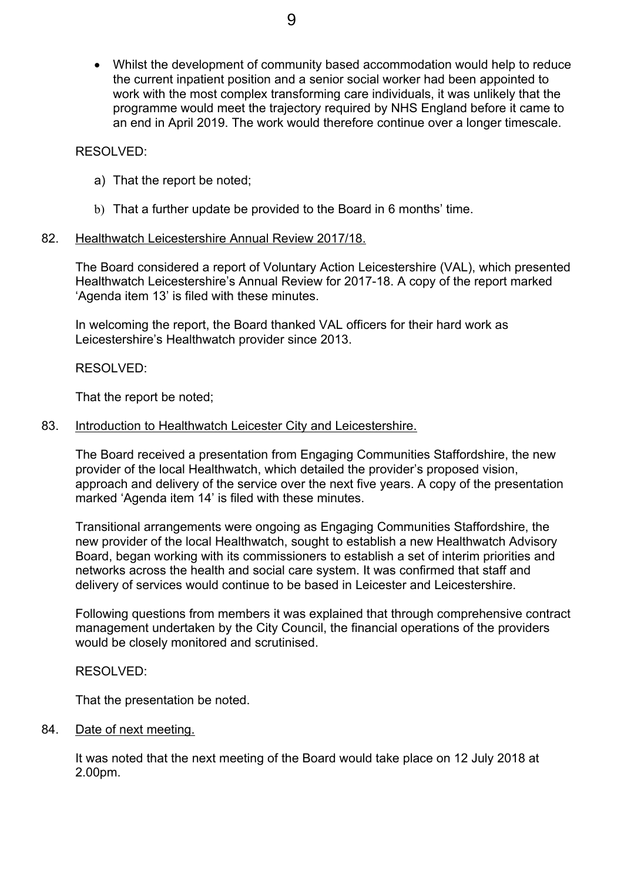Whilst the development of community based accommodation would help to reduce the current inpatient position and a senior social worker had been appointed to work with the most complex transforming care individuals, it was unlikely that the programme would meet the trajectory required by NHS England before it came to an end in April 2019. The work would therefore continue over a longer timescale.

# RESOLVED:

- a) That the report be noted;
- b) That a further update be provided to the Board in 6 months' time.

# 82. Healthwatch Leicestershire Annual Review 2017/18.

The Board considered a report of Voluntary Action Leicestershire (VAL), which presented Healthwatch Leicestershire's Annual Review for 2017-18. A copy of the report marked 'Agenda item 13' is filed with these minutes.

In welcoming the report, the Board thanked VAL officers for their hard work as Leicestershire's Healthwatch provider since 2013.

RESOLVED:

That the report be noted;

83. Introduction to Healthwatch Leicester City and Leicestershire.

The Board received a presentation from Engaging Communities Staffordshire, the new provider of the local Healthwatch, which detailed the provider's proposed vision, approach and delivery of the service over the next five years. A copy of the presentation marked 'Agenda item 14' is filed with these minutes.

Transitional arrangements were ongoing as Engaging Communities Staffordshire, the new provider of the local Healthwatch, sought to establish a new Healthwatch Advisory Board, began working with its commissioners to establish a set of interim priorities and networks across the health and social care system. It was confirmed that staff and delivery of services would continue to be based in Leicester and Leicestershire.

Following questions from members it was explained that through comprehensive contract management undertaken by the City Council, the financial operations of the providers would be closely monitored and scrutinised.

RESOLVED:

That the presentation be noted.

84. Date of next meeting.

It was noted that the next meeting of the Board would take place on 12 July 2018 at 2.00pm.